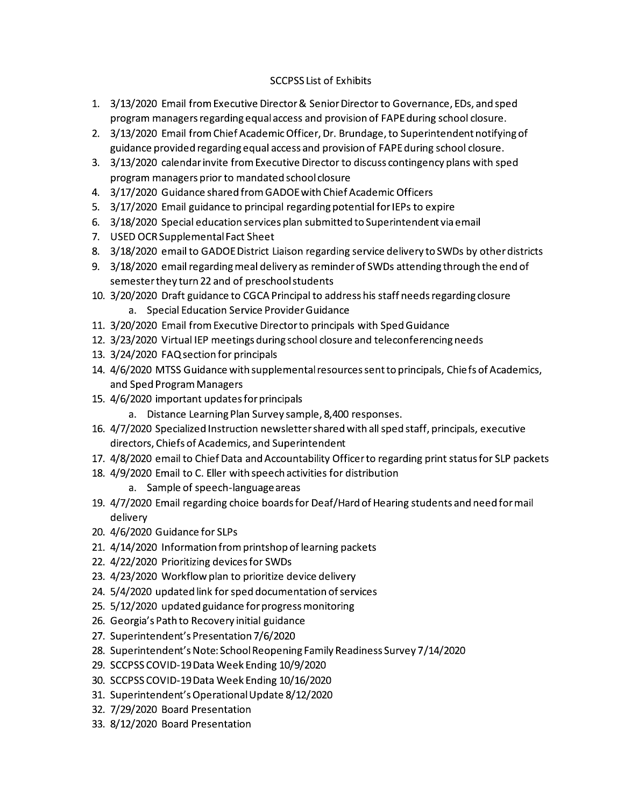## **SCCPSS List of Exhibits**

- 1. 3/13/2020 Email from Executive Director & Senior Director to Governance, EDs, and sped program managers regarding equal access and provision of FAPE during school closure.
- 2. 3/13/2020 Email from Chief Academic Officer, Dr. Brundage, to Superintendent notifying of guidance provided regarding equal access and provision of FAPE during school closure.
- 3. 3/13/2020 calendar invite from Executive Director to discuss contingency plans with sped program managers prior to mandated school closure
- 4. 3/17/2020 Guidance shared from GADOE with Chief Academic Officers
- 5. 3/17/2020 Email guidance to principal regarding potential for IEPs to expire
- 6. 3/18/2020 Special education services plan submitted to Superintendent via email
- 7. USED OCR Supplemental Fact Sheet
- 8. 3/18/2020 email to GADOE District Liaison regarding service delivery to SWDs by other districts
- 9. 3/18/2020 email regarding meal delivery as reminder of SWDs attending through the end of semester they turn 22 and of preschool students
- 10. 3/20/2020 Draft guidance to CGCA Principal to address his staff needs regarding closure a. Special Education Service Provider Guidance
- 11. 3/20/2020 Email from Executive Director to principals with Sped Guidance
- 12. 3/23/2020 Virtual IEP meetings during school closure and teleconferencing needs
- 13. 3/24/2020 FAQ section for principals
- 14. 4/6/2020 MTSS Guidance with supplemental resources sent to principals, Chiefs of Academics, and Sped Program Managers
- 15. 4/6/2020 important updates for principals
	- a. Distance Learning Plan Survey sample, 8,400 responses.
- 16. 4/7/2020 Specialized Instruction newsletter shared with all sped staff, principals, executive directors, Chiefs of Academics, and Superintendent
- 17. 4/8/2020 email to Chief Data and Accountability Officer to regarding print status for SLP packets
- 18. 4/9/2020 Email to C. Eller with speech activities for distribution
	- a. Sample of speech-language areas
- 19. 4/7/2020 Email regarding choice boards for Deaf/Hard of Hearing students and need for mail delivery
- 20. 4/6/2020 Guidance for SLPs
- 21. 4/14/2020 Information from printshop of learning packets
- 22. 4/22/2020 Prioritizing devices for SWDs
- 23. 4/23/2020 Workflow plan to prioritize device delivery
- 24. 5/4/2020 updated link for sped documentation of services
- 25. 5/12/2020 updated guidance for progress monitoring
- 26. Georgia's Path to Recovery initial guidance
- 27. Superintendent's Presentation 7/6/2020
- 28. Superintendent's Note: School Reopening Family Readiness Survey 7/14/2020
- 29. SCCPSS COVID-19 Data Week Ending 10/9/2020
- 30. SCCPSS COVID-19 Data Week Ending 10/16/2020
- 31. Superintendent's Operational Update 8/12/2020
- 32. 7/29/2020 Board Presentation
- 33. 8/12/2020 Board Presentation